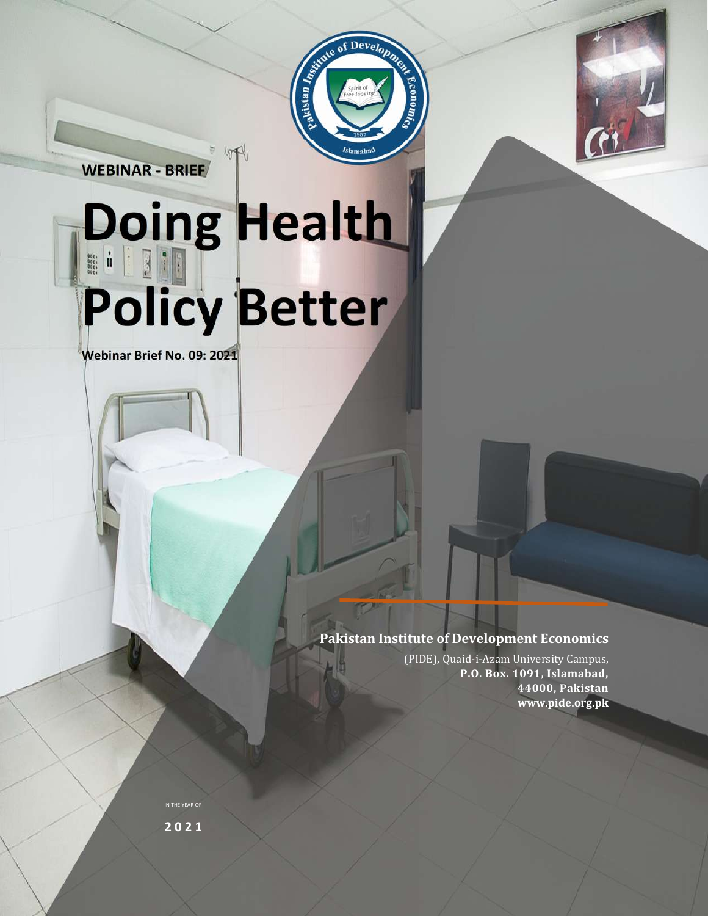

**WEBINAR - BRIEF**

# **Doing Health Policy Better**

4R

Devel.

akistan Inggris

**Webinar Brief No. 09: 2021**

**Pakistan Institute of Development Economics**

(PIDE), Quaid-i-Azam University Campus, **P.O. Box. 1091, Islamabad, 44000, Pakistan www.pide.org.pk**

IN THE YEAR OF **2 0 2 1**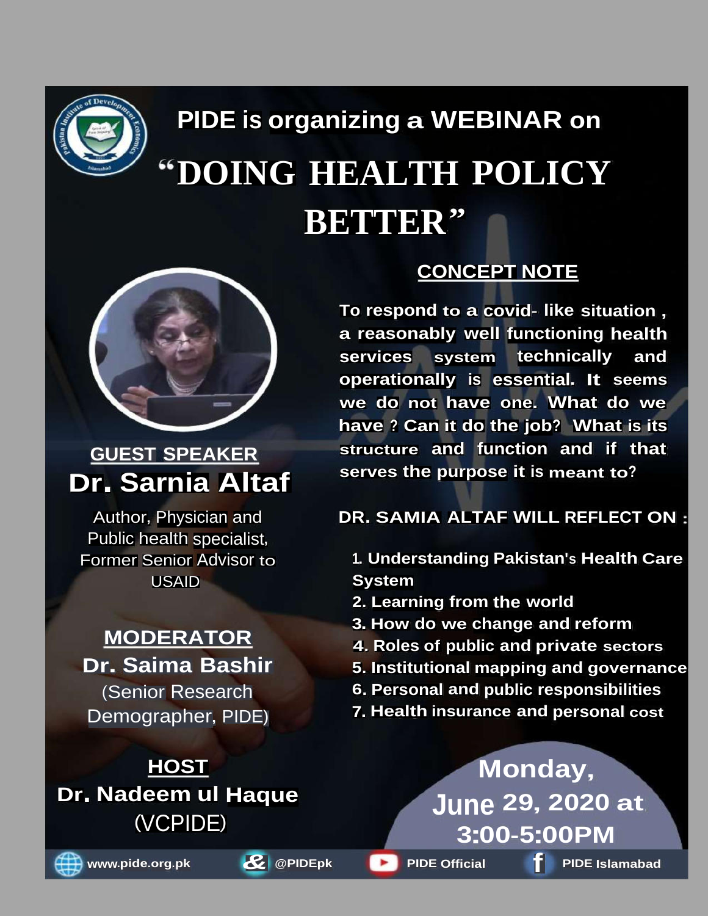

# **PIDE is organizing a WEBINAR on DOING HEALTH POLICY BETTER"**



## **GUEST SPEAKER Dr. Sarnia Altaf**

Author, Physician and Public health specialist, Former Senior Advisor to USAID

### **MODERATOR Dr. Saima Bashir**

(Senior Research Demographer, PIDE)







**CONCEPT NOTE**

**To respond to a covid- like situation , a reasonably well functioning health services system technically and operationally is essential. It seems we do not have one. What do we have ? Can it do the job? What is its structure and function and if that serves the purpose it is meant to?**

**DR. SAMIA ALTAF WILL REFLECT ON**

- **1. Understanding Pakistan's Health Care System**
- **2. Learning from the world**
- **3. How do we change and reform**
- **4. Roles of public and private sectors**
- **5. Institutional mapping and governance**
- **6. Personal and public responsibilities**
- **7. Health insurance and personal cost**

**Monday, June 29, 2020 at 3:00-5:00PM f www.pide.org.pk** *&* **@PIDEpk PIDE Official PIDE Islamabad**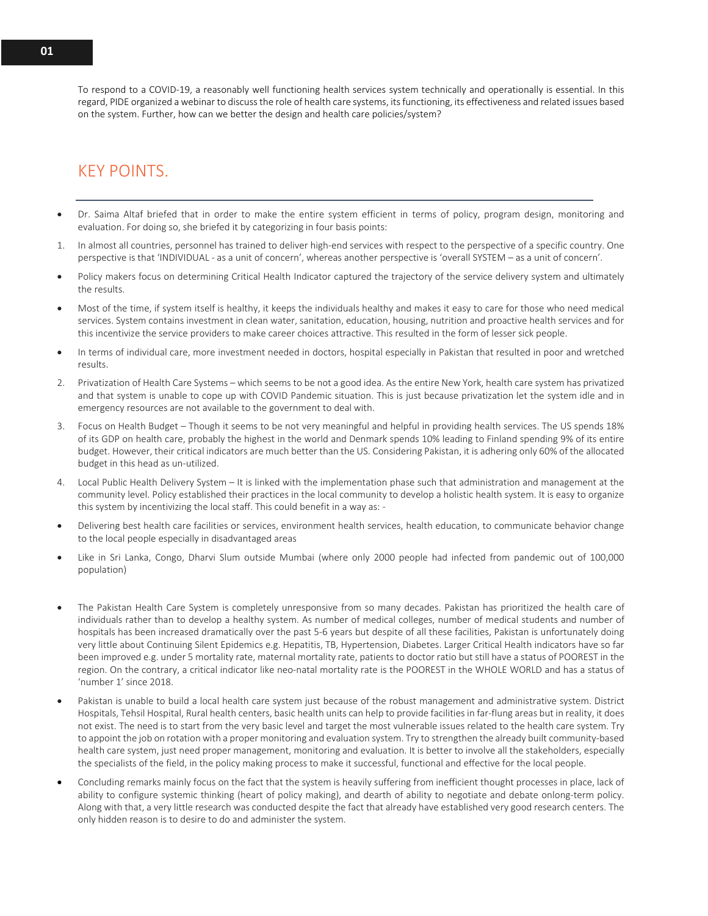To respond to a COVID-19, a reasonably well functioning health services system technically and operationally is essential. In this regard, PIDE organized a webinar to discuss the role of health care systems, its functioning, its effectiveness and related issues based on the system. Further, how can we better the design and health care policies/system?

#### KEY POINTS.

- Dr. Saima Altaf briefed that in order to make the entire system efficient in terms of policy, program design, monitoring and evaluation. For doing so, she briefed it by categorizing in four basis points:
- 1. In almost all countries, personnel has trained to deliver high-end services with respect to the perspective of a specific country. One perspective is that 'INDIVIDUAL - as a unit of concern', whereas another perspective is 'overall SYSTEM – as a unit of concern'.
- Policy makers focus on determining Critical Health Indicator captured the trajectory of the service delivery system and ultimately the results.
- Most of the time, if system itself is healthy, it keeps the individuals healthy and makes it easy to care for those who need medical services. System contains investment in clean water, sanitation, education, housing, nutrition and proactive health services and for this incentivize the service providers to make career choices attractive. This resulted in the form of lesser sick people.
- In terms of individual care, more investment needed in doctors, hospital especially in Pakistan that resulted in poor and wretched results.
- 2. Privatization of Health Care Systems which seems to be not a good idea. As the entire New York, health care system has privatized and that system is unable to cope up with COVID Pandemic situation. This is just because privatization let the system idle and in emergency resources are not available to the government to deal with.
- 3. Focus on Health Budget Though it seems to be not very meaningful and helpful in providing health services. The US spends 18% of its GDP on health care, probably the highest in the world and Denmark spends 10% leading to Finland spending 9% of its entire budget. However, their critical indicators are much better than the US. Considering Pakistan, it is adhering only 60% of the allocated budget in this head as un-utilized.
- 4. Local Public Health Delivery System It is linked with the implementation phase such that administration and management at the community level. Policy established their practices in the local community to develop a holistic health system. It is easy to organize this system by incentivizing the local staff. This could benefit in a way as: -
- Delivering best health care facilities or services, environment health services, health education, to communicate behavior change to the local people especially in disadvantaged areas
- Like in Sri Lanka, Congo, Dharvi Slum outside Mumbai (where only 2000 people had infected from pandemic out of 100,000 population)
- The Pakistan Health Care System is completely unresponsive from so many decades. Pakistan has prioritized the health care of individuals rather than to develop a healthy system. As number of medical colleges, number of medical students and number of hospitals has been increased dramatically over the past 5-6 years but despite of all these facilities, Pakistan is unfortunately doing very little about Continuing Silent Epidemics e.g. Hepatitis, TB, Hypertension, Diabetes. Larger Critical Health indicators have so far been improved e.g. under 5 mortality rate, maternal mortality rate, patients to doctor ratio but still have a status of POOREST in the region. On the contrary, a critical indicator like neo-natal mortality rate is the POOREST in the WHOLE WORLD and has a status of 'number 1' since 2018.
- Pakistan is unable to build a local health care system just because of the robust management and administrative system. District Hospitals, Tehsil Hospital, Rural health centers, basic health units can help to provide facilities in far-flung areas but in reality, it does not exist. The need is to start from the very basic level and target the most vulnerable issues related to the health care system. Try to appoint the job on rotation with a proper monitoring and evaluation system. Try to strengthen the already built community-based health care system, just need proper management, monitoring and evaluation. It is better to involve all the stakeholders, especially the specialists of the field, in the policy making process to make it successful, functional and effective for the local people.
- Concluding remarks mainly focus on the fact that the system is heavily suffering from inefficient thought processes in place, lack of ability to configure systemic thinking (heart of policy making), and dearth of ability to negotiate and debate onlong-term policy. Along with that, a very little research was conducted despite the fact that already have established very good research centers. The only hidden reason is to desire to do and administer the system.